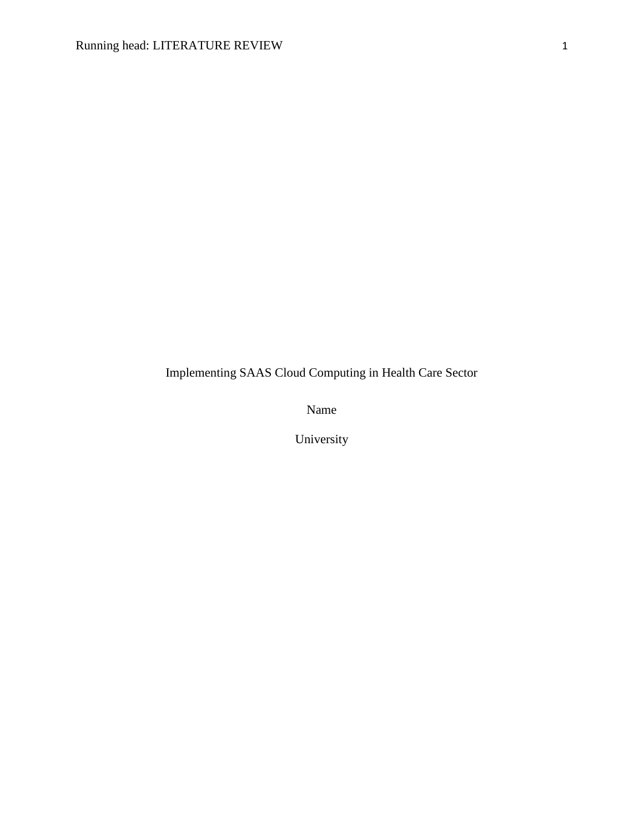Implementing SAAS Cloud Computing in Health Care Sector

Name

University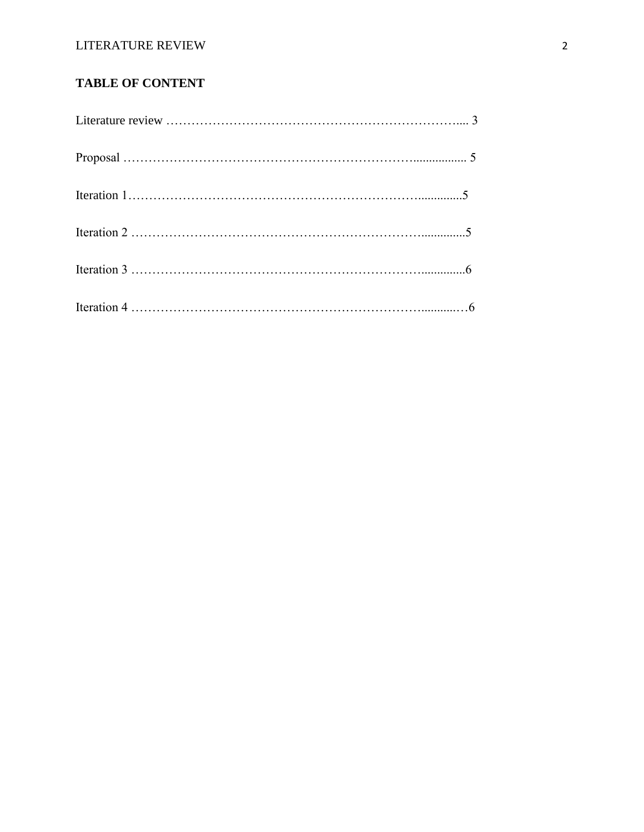## LITERATURE REVIEW 2

# **TABLE OF CONTENT**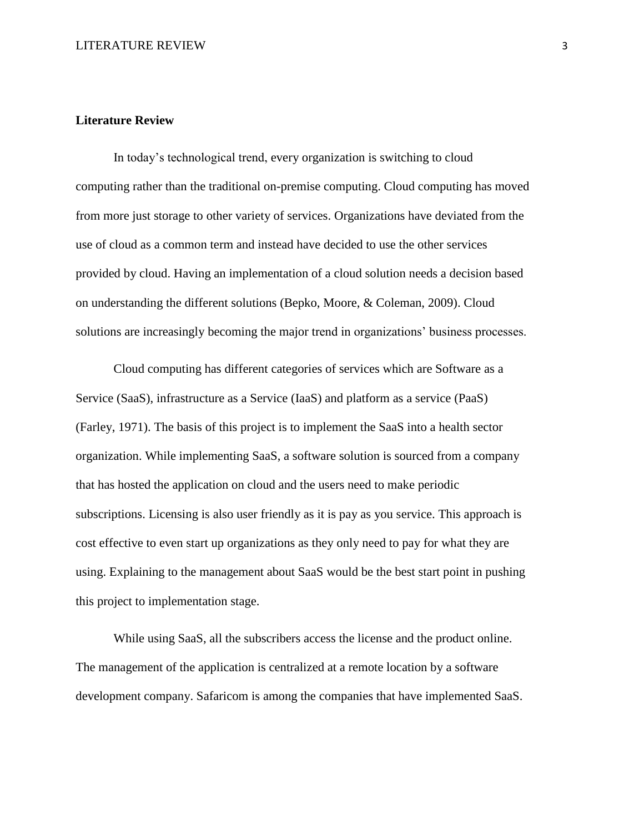#### **Literature Review**

In today's technological trend, every organization is switching to cloud computing rather than the traditional on-premise computing. Cloud computing has moved from more just storage to other variety of services. Organizations have deviated from the use of cloud as a common term and instead have decided to use the other services provided by cloud. Having an implementation of a cloud solution needs a decision based on understanding the different solutions (Bepko, Moore, & Coleman, 2009). Cloud solutions are increasingly becoming the major trend in organizations' business processes.

Cloud computing has different categories of services which are Software as a Service (SaaS), infrastructure as a Service (IaaS) and platform as a service (PaaS) (Farley, 1971). The basis of this project is to implement the SaaS into a health sector organization. While implementing SaaS, a software solution is sourced from a company that has hosted the application on cloud and the users need to make periodic subscriptions. Licensing is also user friendly as it is pay as you service. This approach is cost effective to even start up organizations as they only need to pay for what they are using. Explaining to the management about SaaS would be the best start point in pushing this project to implementation stage.

While using SaaS, all the subscribers access the license and the product online. The management of the application is centralized at a remote location by a software development company. Safaricom is among the companies that have implemented SaaS.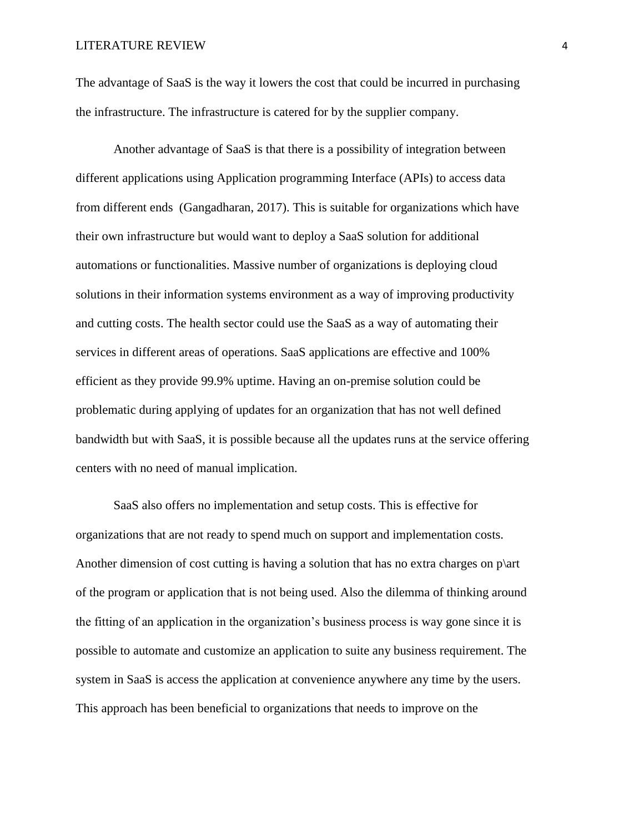The advantage of SaaS is the way it lowers the cost that could be incurred in purchasing the infrastructure. The infrastructure is catered for by the supplier company.

Another advantage of SaaS is that there is a possibility of integration between different applications using Application programming Interface (APIs) to access data from different ends (Gangadharan, 2017). This is suitable for organizations which have their own infrastructure but would want to deploy a SaaS solution for additional automations or functionalities. Massive number of organizations is deploying cloud solutions in their information systems environment as a way of improving productivity and cutting costs. The health sector could use the SaaS as a way of automating their services in different areas of operations. SaaS applications are effective and 100% efficient as they provide 99.9% uptime. Having an on-premise solution could be problematic during applying of updates for an organization that has not well defined bandwidth but with SaaS, it is possible because all the updates runs at the service offering centers with no need of manual implication.

SaaS also offers no implementation and setup costs. This is effective for organizations that are not ready to spend much on support and implementation costs. Another dimension of cost cutting is having a solution that has no extra charges on  $p\art$ of the program or application that is not being used. Also the dilemma of thinking around the fitting of an application in the organization's business process is way gone since it is possible to automate and customize an application to suite any business requirement. The system in SaaS is access the application at convenience anywhere any time by the users. This approach has been beneficial to organizations that needs to improve on the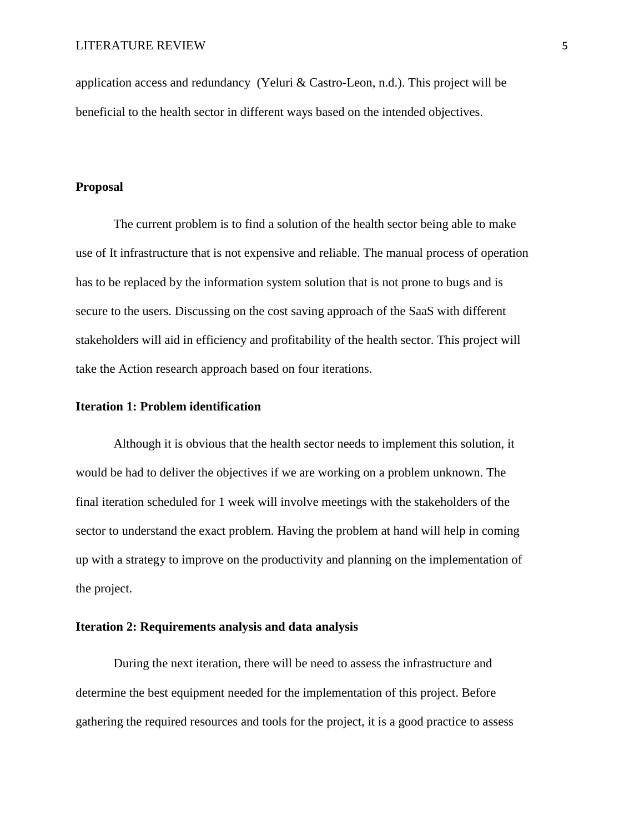application access and redundancy (Yeluri & Castro-Leon, n.d.). This project will be beneficial to the health sector in different ways based on the intended objectives.

### **Proposal**

The current problem is to find a solution of the health sector being able to make use of It infrastructure that is not expensive and reliable. The manual process of operation has to be replaced by the information system solution that is not prone to bugs and is secure to the users. Discussing on the cost saving approach of the SaaS with different stakeholders will aid in efficiency and profitability of the health sector. This project will take the Action research approach based on four iterations.

## **Iteration 1: Problem identification**

Although it is obvious that the health sector needs to implement this solution, it would be had to deliver the objectives if we are working on a problem unknown. The final iteration scheduled for 1 week will involve meetings with the stakeholders of the sector to understand the exact problem. Having the problem at hand will help in coming up with a strategy to improve on the productivity and planning on the implementation of the project.

## **Iteration 2: Requirements analysis and data analysis**

During the next iteration, there will be need to assess the infrastructure and determine the best equipment needed for the implementation of this project. Before gathering the required resources and tools for the project, it is a good practice to assess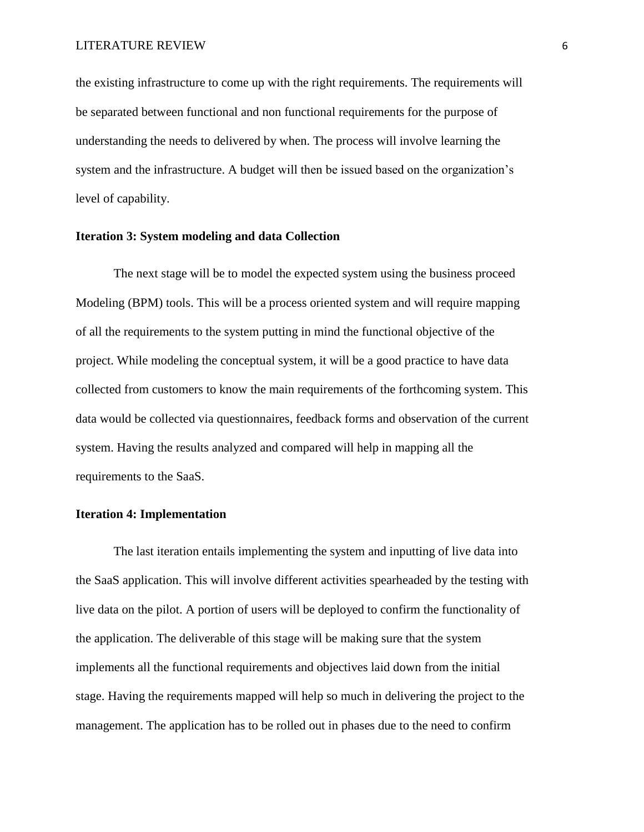the existing infrastructure to come up with the right requirements. The requirements will be separated between functional and non functional requirements for the purpose of understanding the needs to delivered by when. The process will involve learning the system and the infrastructure. A budget will then be issued based on the organization's level of capability.

### **Iteration 3: System modeling and data Collection**

The next stage will be to model the expected system using the business proceed Modeling (BPM) tools. This will be a process oriented system and will require mapping of all the requirements to the system putting in mind the functional objective of the project. While modeling the conceptual system, it will be a good practice to have data collected from customers to know the main requirements of the forthcoming system. This data would be collected via questionnaires, feedback forms and observation of the current system. Having the results analyzed and compared will help in mapping all the requirements to the SaaS.

## **Iteration 4: Implementation**

The last iteration entails implementing the system and inputting of live data into the SaaS application. This will involve different activities spearheaded by the testing with live data on the pilot. A portion of users will be deployed to confirm the functionality of the application. The deliverable of this stage will be making sure that the system implements all the functional requirements and objectives laid down from the initial stage. Having the requirements mapped will help so much in delivering the project to the management. The application has to be rolled out in phases due to the need to confirm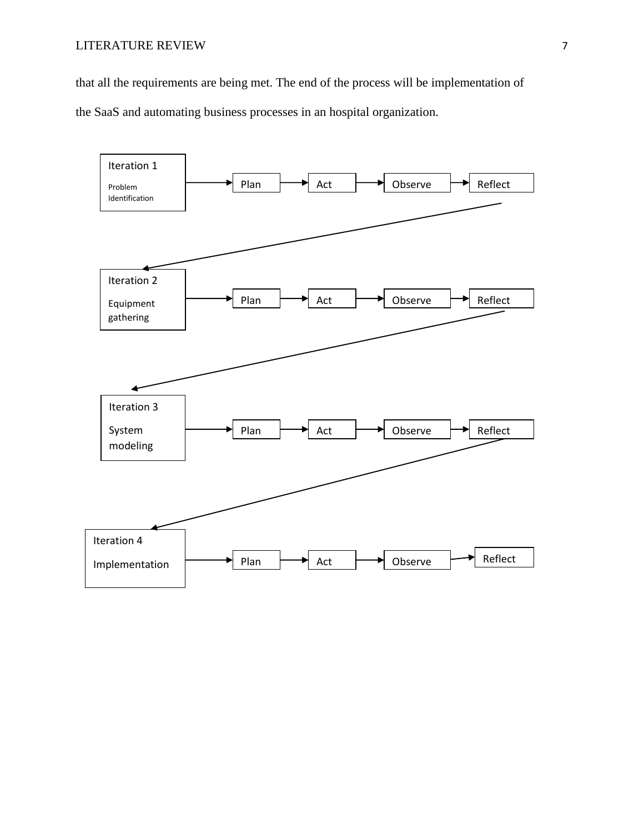that all the requirements are being met. The end of the process will be implementation of

the SaaS and automating business processes in an hospital organization.